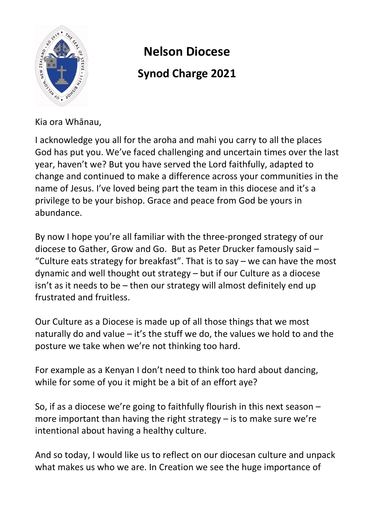

# **Nelson Diocese Synod Charge 2021**

Kia ora Whānau,

I acknowledge you all for the aroha and mahi you carry to all the places God has put you. We've faced challenging and uncertain times over the last year, haven't we? But you have served the Lord faithfully, adapted to change and continued to make a difference across your communities in the name of Jesus. I've loved being part the team in this diocese and it's a privilege to be your bishop. Grace and peace from God be yours in abundance.

By now I hope you're all familiar with the three-pronged strategy of our diocese to Gather, Grow and Go. But as Peter Drucker famously said – "Culture eats strategy for breakfast". That is to say – we can have the most dynamic and well thought out strategy – but if our Culture as a diocese isn't as it needs to be – then our strategy will almost definitely end up frustrated and fruitless.

Our Culture as a Diocese is made up of all those things that we most naturally do and value – it's the stuff we do, the values we hold to and the posture we take when we're not thinking too hard.

For example as a Kenyan I don't need to think too hard about dancing, while for some of you it might be a bit of an effort aye?

So, if as a diocese we're going to faithfully flourish in this next season – more important than having the right strategy – is to make sure we're intentional about having a healthy culture.

And so today, I would like us to reflect on our diocesan culture and unpack what makes us who we are. In Creation we see the huge importance of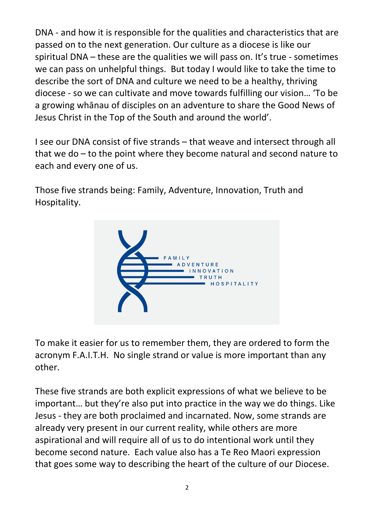DNA - and how it is responsible for the qualities and characteristics that are passed on to the next generation. Our culture as a diocese is like our spiritual DNA – these are the qualities we will pass on. It's true - sometimes we can pass on unhelpful things. But today I would like to take the time to describe the sort of DNA and culture we need to be a healthy, thriving diocese - so we can cultivate and move towards fulfilling our vision… 'To be a growing whānau of disciples on an adventure to share the Good News of Jesus Christ in the Top of the South and around the world'.

I see our DNA consist of five strands – that weave and intersect through all that we do – to the point where they become natural and second nature to each and every one of us.

Those five strands being: Family, Adventure, Innovation, Truth and Hospitality.



To make it easier for us to remember them, they are ordered to form the acronym F.A.I.T.H. No single strand or value is more important than any other.

These five strands are both explicit expressions of what we believe to be important… but they're also put into practice in the way we do things. Like Jesus - they are both proclaimed and incarnated. Now, some strands are already very present in our current reality, while others are more aspirational and will require all of us to do intentional work until they become second nature. Each value also has a Te Reo Maori expression that goes some way to describing the heart of the culture of our Diocese.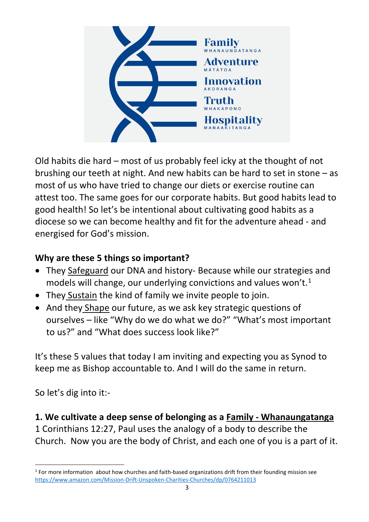

Old habits die hard – most of us probably feel icky at the thought of not brushing our teeth at night. And new habits can be hard to set in stone – as most of us who have tried to change our diets or exercise routine can attest too. The same goes for our corporate habits. But good habits lead to good health! So let's be intentional about cultivating good habits as a diocese so we can become healthy and fit for the adventure ahead - and energised for God's mission.

# **Why are these 5 things so important?**

- They Safeguard our DNA and history- Because while our strategies and models will change, our underlying convictions and values won't.<sup>[1](#page-2-0)</sup>
- They Sustain the kind of family we invite people to join.
- And they Shape our future, as we ask key strategic questions of ourselves – like "Why do we do what we do?" "What's most important to us?" and "What does success look like?"

It's these 5 values that today I am inviting and expecting you as Synod to keep me as Bishop accountable to. And I will do the same in return.

So let's dig into it:-

#### **1. We cultivate a deep sense of belonging as a Family - Whanaungatanga**

1 Corinthians 12:27, Paul uses the analogy of a body to describe the Church. Now you are the body of Christ, and each one of you is a part of it.

<span id="page-2-0"></span><sup>&</sup>lt;sup>1</sup> For more information about how churches and faith-based organizations drift from their founding mission see [https://www.amazon.com/Mission](https://www.amazon.com/Mission-Drift-Unspoken-Charities-Churches/dp/0764211013)-Drift-Unspoken-Charities-Churches/dp/0764211013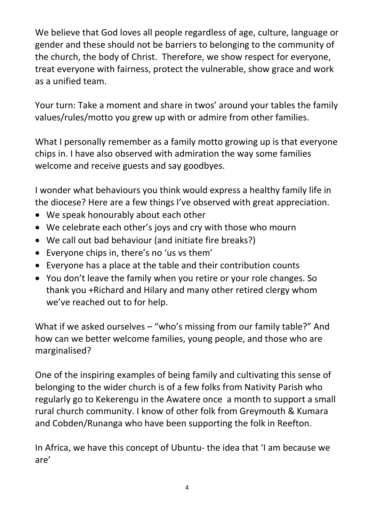We believe that God loves all people regardless of age, culture, language or gender and these should not be barriers to belonging to the community of the church, the body of Christ. Therefore, we show respect for everyone, treat everyone with fairness, protect the vulnerable, show grace and work as a unified team.

Your turn: Take a moment and share in twos' around your tables the family values/rules/motto you grew up with or admire from other families.

What I personally remember as a family motto growing up is that everyone chips in. I have also observed with admiration the way some families welcome and receive guests and say goodbyes.

I wonder what behaviours you think would express a healthy family life in the diocese? Here are a few things I've observed with great appreciation.

- We speak honourably about each other
- We celebrate each other's joys and cry with those who mourn
- We call out bad behaviour (and initiate fire breaks?)
- Everyone chips in, there's no 'us vs them'
- Everyone has a place at the table and their contribution counts
- You don't leave the family when you retire or your role changes. So thank you +Richard and Hilary and many other retired clergy whom we've reached out to for help.

What if we asked ourselves – "who's missing from our family table?" And how can we better welcome families, young people, and those who are marginalised?

One of the inspiring examples of being family and cultivating this sense of belonging to the wider church is of a few folks from Nativity Parish who regularly go to Kekerengu in the Awatere once a month to support a small rural church community. I know of other folk from Greymouth & Kumara and Cobden/Runanga who have been supporting the folk in Reefton.

In Africa, we have this concept of Ubuntu- the idea that 'I am because we are'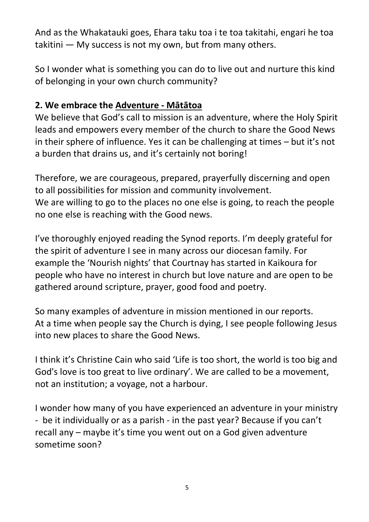And as the Whakatauki goes, Ehara taku toa i te toa takitahi, engari he toa takitini — My success is not my own, but from many others.

So I wonder what is something you can do to live out and nurture this kind of belonging in your own church community?

#### **2. We embrace the Adventure - Mātātoa**

We believe that God's call to mission is an adventure, where the Holy Spirit leads and empowers every member of the church to share the Good News in their sphere of influence. Yes it can be challenging at times – but it's not a burden that drains us, and it's certainly not boring!

Therefore, we are courageous, prepared, prayerfully discerning and open to all possibilities for mission and community involvement. We are willing to go to the places no one else is going, to reach the people no one else is reaching with the Good news.

I've thoroughly enjoyed reading the Synod reports. I'm deeply grateful for the spirit of adventure I see in many across our diocesan family. For example the 'Nourish nights' that Courtnay has started in Kaikoura for people who have no interest in church but love nature and are open to be gathered around scripture, prayer, good food and poetry.

So many examples of adventure in mission mentioned in our reports. At a time when people say the Church is dying, I see people following Jesus into new places to share the Good News.

I think it's Christine Cain who said 'Life is too short, the world is too big and God's love is too great to live ordinary'. We are called to be a movement, not an institution; a voyage, not a harbour.

I wonder how many of you have experienced an adventure in your ministry - be it individually or as a parish - in the past year? Because if you can't recall any – maybe it's time you went out on a God given adventure sometime soon?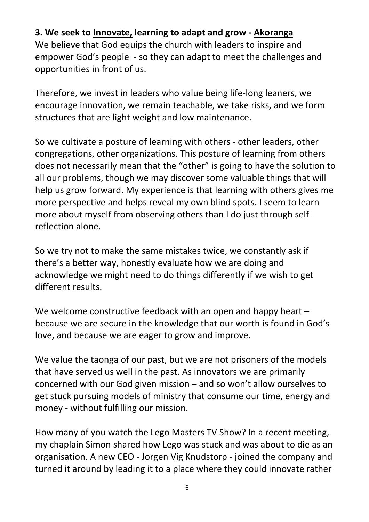#### **3. We seek to Innovate, learning to adapt and grow - Akoranga**

We believe that God equips the church with leaders to inspire and empower God's people - so they can adapt to meet the challenges and opportunities in front of us.

Therefore, we invest in leaders who value being life-long leaners, we encourage innovation, we remain teachable, we take risks, and we form structures that are light weight and low maintenance.

So we cultivate a posture of learning with others - other leaders, other congregations, other organizations. This posture of learning from others does not necessarily mean that the "other" is going to have the solution to all our problems, though we may discover some valuable things that will help us grow forward. My experience is that learning with others gives me more perspective and helps reveal my own blind spots. I seem to learn more about myself from observing others than I do just through selfreflection alone.

So we try not to make the same mistakes twice, we constantly ask if there's a better way, honestly evaluate how we are doing and acknowledge we might need to do things differently if we wish to get different results.

We welcome constructive feedback with an open and happy heart – because we are secure in the knowledge that our worth is found in God's love, and because we are eager to grow and improve.

We value the taonga of our past, but we are not prisoners of the models that have served us well in the past. As innovators we are primarily concerned with our God given mission – and so won't allow ourselves to get stuck pursuing models of ministry that consume our time, energy and money - without fulfilling our mission.

How many of you watch the Lego Masters TV Show? In a recent meeting, my chaplain Simon shared how Lego was stuck and was about to die as an organisation. A new CEO - Jorgen Vig Knudstorp - joined the company and turned it around by leading it to a place where they could innovate rather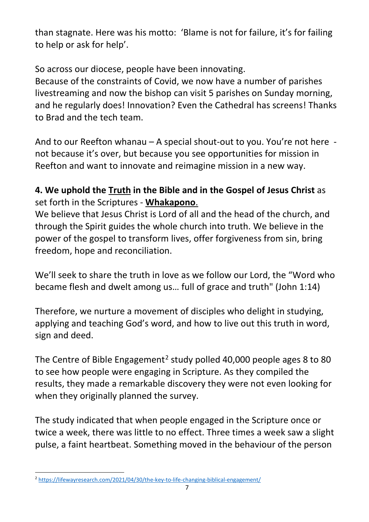than stagnate. Here was his motto: 'Blame is not for failure, it's for failing to help or ask for help'.

So across our diocese, people have been innovating.

Because of the constraints of Covid, we now have a number of parishes livestreaming and now the bishop can visit 5 parishes on Sunday morning, and he regularly does! Innovation? Even the Cathedral has screens! Thanks to Brad and the tech team.

And to our Reefton whanau – A special shout-out to you. You're not here not because it's over, but because you see opportunities for mission in Reefton and want to innovate and reimagine mission in a new way.

## **4. We uphold the Truth in the Bible and in the Gospel of Jesus Christ** as set forth in the Scriptures - **Whakapono**.

We believe that Jesus Christ is Lord of all and the head of the church, and through the Spirit guides the whole church into truth. We believe in the power of the gospel to transform lives, offer forgiveness from sin, bring freedom, hope and reconciliation.

We'll seek to share the truth in love as we follow our Lord, the "Word who became flesh and dwelt among us… full of grace and truth" (John 1:14)

Therefore, we nurture a movement of disciples who delight in studying, applying and teaching God's word, and how to live out this truth in word, sign and deed.

The Centre of Bible Engagement<sup>[2](#page-6-0)</sup> study polled 40,000 people ages 8 to 80 to see how people were engaging in Scripture. As they compiled the results, they made a remarkable discovery they were not even looking for when they originally planned the survey.

The study indicated that when people engaged in the Scripture once or twice a week, there was little to no effect. Three times a week saw a slight pulse, a faint heartbeat. Something moved in the behaviour of the person

<span id="page-6-0"></span><sup>2</sup> [https://lifewayresearch.com/2021/04/30/the](https://lifewayresearch.com/2021/04/30/the-key-to-life-changing-biblical-engagement/)-key-to-life-changing-biblical-engagement/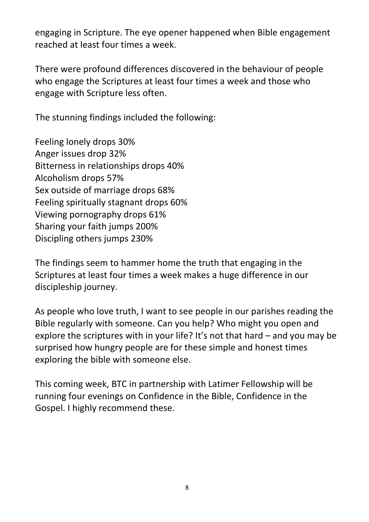engaging in Scripture. The eye opener happened when Bible engagement reached at least four times a week.

There were profound differences discovered in the behaviour of people who engage the Scriptures at least four times a week and those who engage with Scripture less often.

The stunning findings included the following:

Feeling lonely drops 30% Anger issues drop 32% Bitterness in relationships drops 40% Alcoholism drops 57% Sex outside of marriage drops 68% Feeling spiritually stagnant drops 60% Viewing pornography drops 61% Sharing your faith jumps 200% Discipling others jumps 230%

The findings seem to hammer home the truth that engaging in the Scriptures at least four times a week makes a huge difference in our discipleship journey.

As people who love truth, I want to see people in our parishes reading the Bible regularly with someone. Can you help? Who might you open and explore the scriptures with in your life? It's not that hard – and you may be surprised how hungry people are for these simple and honest times exploring the bible with someone else.

This coming week, BTC in partnership with Latimer Fellowship will be running four evenings on Confidence in the Bible, Confidence in the Gospel. I highly recommend these.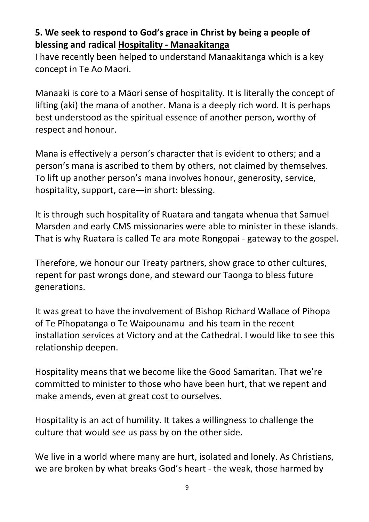## **5. We seek to respond to God's grace in Christ by being a people of blessing and radical Hospitality - Manaakitanga**

I have recently been helped to understand Manaakitanga which is a key concept in Te Ao Maori.

Manaaki is core to a Māori sense of hospitality. It is literally the concept of lifting (aki) the mana of another. Mana is a deeply rich word. It is perhaps best understood as the spiritual essence of another person, worthy of respect and honour.

Mana is effectively a person's character that is evident to others; and a person's mana is ascribed to them by others, not claimed by themselves. To lift up another person's mana involves honour, generosity, service, hospitality, support, care—in short: blessing.

It is through such hospitality of Ruatara and tangata whenua that Samuel Marsden and early CMS missionaries were able to minister in these islands. That is why Ruatara is called Te ara mote Rongopai - gateway to the gospel.

Therefore, we honour our Treaty partners, show grace to other cultures, repent for past wrongs done, and steward our Taonga to bless future generations.

It was great to have the involvement of Bishop Richard Wallace of Pihopa of Te Pīhopatanga o Te Waipounamu and his team in the recent installation services at Victory and at the Cathedral. I would like to see this relationship deepen.

Hospitality means that we become like the Good Samaritan. That we're committed to minister to those who have been hurt, that we repent and make amends, even at great cost to ourselves.

Hospitality is an act of humility. It takes a willingness to challenge the culture that would see us pass by on the other side.

We live in a world where many are hurt, isolated and lonely. As Christians, we are broken by what breaks God's heart - the weak, those harmed by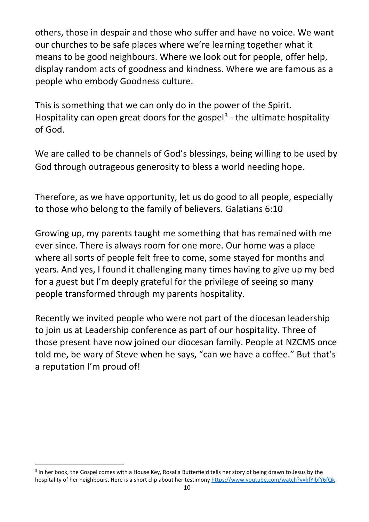others, those in despair and those who suffer and have no voice. We want our churches to be safe places where we're learning together what it means to be good neighbours. Where we look out for people, offer help, display random acts of goodness and kindness. Where we are famous as a people who embody Goodness culture.

This is something that we can only do in the power of the Spirit. Hospitality can open great doors for the gospel<sup>[3](#page-9-0)</sup> - the ultimate hospitality of God.

We are called to be channels of God's blessings, being willing to be used by God through outrageous generosity to bless a world needing hope.

Therefore, as we have opportunity, let us do good to all people, especially to those who belong to the family of believers. Galatians 6:10

Growing up, my parents taught me something that has remained with me ever since. There is always room for one more. Our home was a place where all sorts of people felt free to come, some stayed for months and years. And yes, I found it challenging many times having to give up my bed for a guest but I'm deeply grateful for the privilege of seeing so many people transformed through my parents hospitality.

Recently we invited people who were not part of the diocesan leadership to join us at Leadership conference as part of our hospitality. Three of those present have now joined our diocesan family. People at NZCMS once told me, be wary of Steve when he says, "can we have a coffee." But that's a reputation I'm proud of!

<span id="page-9-0"></span><sup>&</sup>lt;sup>3</sup> In her book, the Gospel comes with a House Key, Rosalia Butterfield tells her story of being drawn to Jesus by the hospitality of her neighbours. Here is a short clip about her testimony <https://www.youtube.com/watch?v=kfYibfY6fQk>